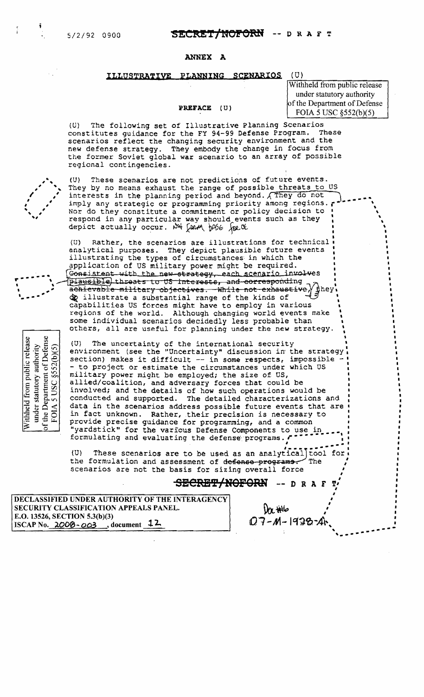# SECRET/NOFORN -- DRAFT

### **ANNEX A**

### ILLUSTRATIVE PLANNING SCENARIOS

# $(U)$

PREFACE (U)

Withheld from public release under statutory authority of the Department of Defense FOIA 5 USC  $\S 52(b)(5)$ 

The following set of Illustrative Planning Scenarios  $(U)$ constitutes guidance for the FY 94-99 Defense Program. These scenarios reflect the changing security environment and the new defense strategy. They embody the change in focus from the former Soviet global war scenario to an array of possible regional contingencies.

These scenarios are not predictions of future events.  $(U)$ They by no means exhaust the range of possible threats to US interests in the planning period and beyond.  $\sqrt{r}$  they do not imply any strategic or programming priority among regions. Nor do they constitute a commitment or policy decision to respond in any particular way should events such as they depict actually occur. Not form pase for the

 $(U)$ Rather, the scenarios are illustrations for technical analytical purposes. They depict plausible future events illustrating the types of circumstances in which the application of US military power might be required. Consistent with the new strategy, each scenario involves plausible threats to US interests, and corresponding achievable military objectives. While not exhaustive, they composible a substantial range of the kinds of capabilities US forces might have to employ in various regions of the world. Although changing world events make some individual scenarios decidedly less probable than others, all are useful for planning under the new strategy.

 $(U)$ The uncertainty of the international security environment (see the "Uncertainty" discussion in the strategy section) makes it difficult -- in some respects, impossible -- to project or estimate the circumstances under which US military power might be employed; the size of US, allied/coalition, and adversary forces that could be involved; and the details of how such operations would be conducted and supported. The detailed characterizations and data in the scenarios address possible future events that are in fact unknown. Rather, their precision is necessary to provide precise guidance for programming, and a common "yardstick" for the various Defense Components to use in formulating and evaluating the defense programs.

 $(U)$ These scenarios are to be used as an analytical tool for the formulation and assessment of defense programs. The scenarios are not the basis for sizing overall force

SECRET/NOFORN -- DRA

DECLASSIFIED UNDER AUTHORITY OF THE INTERAGENCY SECURITY CLASSIFICATION APPEALS PANEL. E.O. 13526, SECTION 5.3(b)(3) ISCAP No.  $200\theta - 003$ , document  $12$ 

under statutory authority<br>of the Department of Defense<br>FOIA 5 USC  $$52(b)(5)$ 

Withheld from public release

 $0\alpha$  the  $Q7 - M - 1928 - A$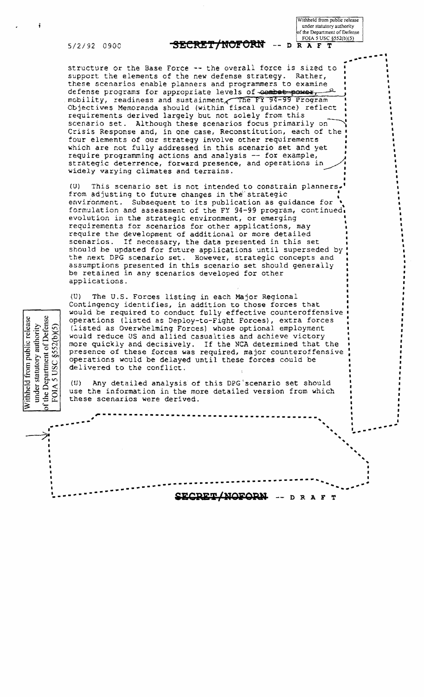Withheld from public release under statutory authority of the Department of Defense FOIA 5 USC §552(b)(5)

5/2/92 0900

under statutory authority<br>the Department of Defense

the Department

 $52(b)(5)$ 

 $\mathcal{S}$ 

**SC** 

 $\overline{5}$ 

FOIA

Withheld from public release

### SECRET/NOFORN  $D$   $R$   $A$   $F$   $T$

structure or the Base Force -- the overall force is sized to support the elements of the new defense strategy. Rather, these scenarios enable planners and programmers to examine defense programs for appropriate levels of combat power, mobility, readiness and sustainment, The FY 94-99 Program Objectives Memoranda should (within fiscal guidance) reflect requirements derived largely but not solely from this scenario set. Although these scenarios focus primarily on Crisis Response and, in one case, Reconstitution, each of the four elements of our strategy involve other requirements which are not fully addressed in this scenario set and yet require programming actions and analysis -- for example, strategic deterrence, forward presence, and operations in widely varying climates and terrains.

 $(U)$ This scenario set is not intended to constrain planners. from adjusting to future changes in the strategic environment. Subsequent to its publication as guidance for formulation and assessment of the FY 94-99 program, continued. evolution in the strategic environment, or emerging requirements for scenarios for other applications, may require the development of additional or more detailed scenarios. If necessary, the data presented in this set should be updated for future applications until superseded by the next DPG scenario set. However, strategic concepts and assumptions presented in this scenario set should generally be retained in any scenarios developed for other applications.

 $\langle U \rangle$ The U.S. Forces listing in each Major Regional Contingency identifies, in addition to those forces that would be required to conduct fully effective counteroffensive operations (listed as Deploy-to-Fight Forces), extra forces (listed as Overwhelming Forces) whose optional employment would reduce US and allied casualties and achieve victory more quickly and decisively. If the NCA determined that the presence of these forces was required, major counteroffensive operations would be delayed until these forces could be delivered to the conflict.

Any detailed analysis of this DPG scenario set should  $(U)$ use the information in the more detailed version from which these scenarios were derived.

> <u> UDET WOE</u> DRAFT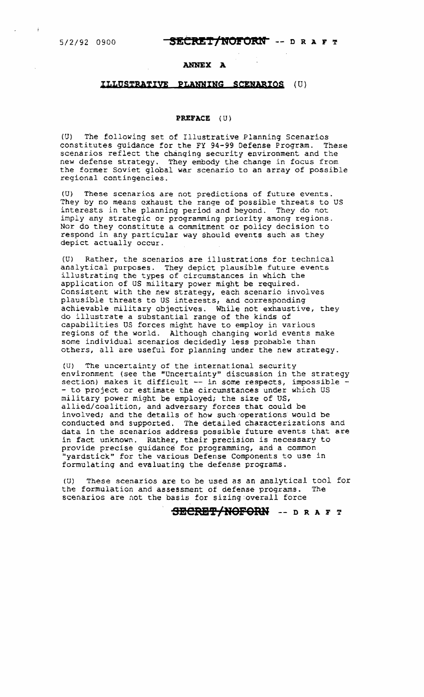÷

## 5/2/92 0900 **SECRET/NOFORN** -- **D R A F** T

## **ANNEX A**

# **ILLQSTRATIVE PLAWING SCENARIOS** (U)

### **PREFACE** {U)

(U) The fOllowing set of Illustrative Planning Scenarios constitutes guidance for the FY 94-99 Defense Program. These scenarios reflect the changing security environment and the new defense strategy. They embody the change in focus from the former Soviet global war scenario to an array of possible regional contingencies.

(U) These scenarios are not predictions of future events. They by no means exhaust the range of possible threats to US interests in the planning period and beyond. They do not imply any strategic or programming priority among regions. Nor do they constitute a commitment or policy decision to respond in any particular way should events such as they depict actually occur.

(U) Rather, the scenarios are illustrations for technical analytical purposes. They depict plausible future events illustrating the types of circumstances in which the application of US military power might be required. Consistent with the new strategy, each scenario involves plausible threats to US interests, and corresponding achievable military objectives. While not exhaustive, they do illustrate a substantial range of the kinds of capabilities US forces might have to employ in various regions of the world. Aithough changing world events make some individual scenarios decidedly less probable than others, all are useful for planning under the new strategy.

(U) The uncertainty of the international security environment (see the "Uncertainty" discussion in the strategy section) makes it difficult -- in some respects, impossible -<br>- to project or estimate the circumstances under which US military power might be employed; the size of US, allied/coalition, and adversary forces that could be involved; and the details of how such operations would be conducted and supported. The detailed Characterizations and data in the scenarios address possible future events that are in fact unknown. Rather, their precision is necessary to provide precise guidance for programming, and a common "yardstick" for the various Defense Components to use in formulating and evaluating the defense programs.

(U) These scenarios are to be used as an analytical tool for the formulation and assessment of defense programs. The scenarios are not the basis for sizing:overall force

# **SeCRB'P/NOFORH** -- D R ArT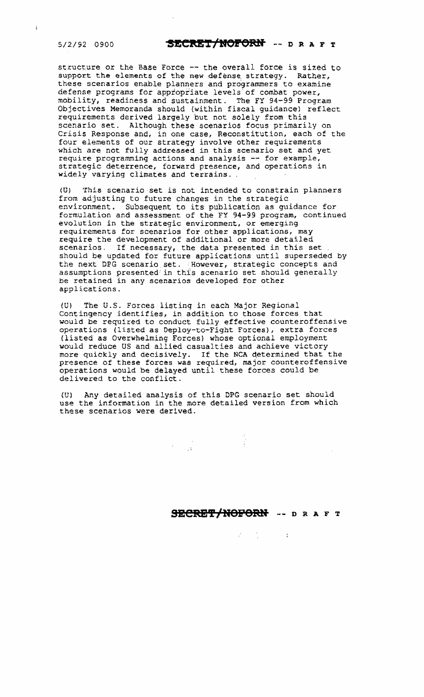$\mathbf{i}$ 

# 5/2/92 0900 **SECRET/NOFORN** -- D R A F T

structure or the Base Force -- the overall force is sized to support the elements of the hew defense, strategy. Rather, these scenarios enable planners and programmers to examine defense programs for appropriate levels of combat power, mobility, readiness and sustainment. The FY 94-99 Program Objectives Memoranda should (within fiscal guidance) reflect requirements derived largely but not solely from this scenario set. Although these scenarios focus primarily on Crisis Response and, in one case, Reconstitution, each of the four elements of our strategy involve other requirements which are not fully addressed in this scenario set and yet require programming actions and analysis -- for example, strategic deterrence, forward presence, and operations in widely varying climates and terrains.

(U) This scenario set is not intended to constrain planners from adjusting to future changes in the strategic environment. Subsequent to its publication as guidance for formulation and aSSessment of the FY 94-99 program, continued evolution in the strategic environment, or emerging requirements for scenarios for other applications, may require the development of additional or more detailed scenarios. If necessary, the data presented in this set should be updated for future applications until superseded by the next DPG scenario set. However, strategic concepts and assumptions presented in this scenario set should generally be retained in any scenarios developed for other applications.

(U) The U.S. Forces listing in each Major Regional Contingency identifies, in addition to those forces that would be required to conduct fully effective counteroffensive operations (listed as Deploy-co-Fight Forces), extra forces (listed as Overwhelming Forces) whose optional employment would reduce US and allied casualties and achieve victory more quickly and decisively. If the NCA determined that the presence of these forces was required, major counteroffensive operations would be delayed until these forces could be delivered to the conflict.

CU) Any detailed analysis of this DPG scenario set should use the information in the more detailed version from which these scenarios were derived.

# **SECRET/NOFORN** -- D R A F T

 $\label{eq:2.1} \mathbb{X}^{\mathbb{N}}=\mathbb{X}^{\mathbb{N}}\otimes\mathbb{X}^{\mathbb{N}}=\mathbb{X}^{\mathbb{N}}$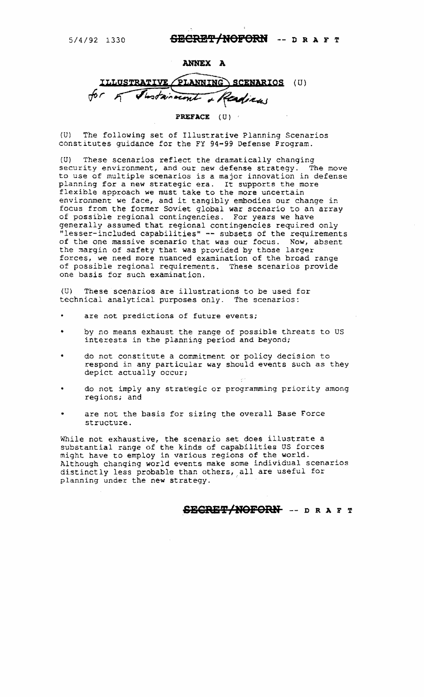# *5/4/92 1330* **SBCRBY/HOi'ORH** -- D R AFT

### **ANNEX A**

**PLANNING SCENARIOS**  $(U)$ Shotainvent adien

**PREFACE** (U)

(U) The following set of Illustrative Planning Scenarios constitutes guidance for the FY 94-99 Defense Program.

(U) These scenarios reflect the dramatically changing security environment, and our new defense strategy. The move to use of multiple scenarios is a major innovation in defense planning for a new strategic era. It supports the more flexible approach we must take to the more uncertain environment we face, and it tangibly embodies our change in focus from the former Soviet global war scenario to an array of possible regional contingencies. For years we have<br>generally assumed that regional contingencies required only "lesser-included capabilities" -- subsets of the requirements of the one massive scenario that was our focus. Now, absent the margin of safety that was provided by those larger forces, we need more nuanced examination of the broad range of possible regional requirements. These scenarios provide one basis for such examination.

(U) These scenarios are illustrations to be used for technical analytical purposes only. The scenarios:

- are not predictions of future events;
- by no means exhaust the range of possible threats to US interests in the planning period and beyond;
- do not constitute a commitment or policy decision to respond in any particular way should events such as they depict actually occur;
- do not imply any strategic or programming priority among regions; and
- are not the basis for sizing the overall Base Force structure.

While not exhaustive, the scenario set does illustrate a substantial range of the kinds of capabilities *US* forces might have to employ in various regions of the world. Although changing world events make some individual scenarios distinctly less probable than others, all are useful for planning under the new strategy.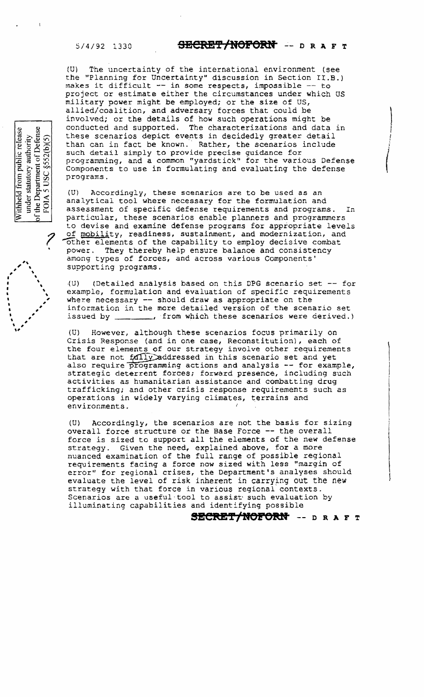$\overline{\phantom{a}}$ ~  $\mathcal{L}$  .

 $\blacksquare$ 

 $\mathbf{v}$ # #

 $\cdot$   $\cdot$ .<br>مو

I I I I I ,<br>1

~ ~ ~  $\ddot{\phantom{0}}$ # #

under statutory authority<br>the Department of Defense<br>FOIA 5 USC §552(b)(5)

Withheld from public release

! j

 $\begin{pmatrix} 1 \\ 1 \end{pmatrix}$ 

 $\begin{picture}(220,20) \put(0,0){\dashbox{0.5}(10,0){ }} \put(15,0){\dashbox{0.5}(10,0){ }} \put(15,0){\dashbox{0.5}(10,0){ }} \put(15,0){\dashbox{0.5}(10,0){ }} \put(15,0){\dashbox{0.5}(10,0){ }} \put(15,0){\dashbox{0.5}(10,0){ }} \put(15,0){\dashbox{0.5}(10,0){ }} \put(15,0){\dashbox{0.5}(10,0){ }} \put(15,0){\dashbox{0.5}(10,0){ }} \put(15,0){\dashbox$ 

I

(U) The uncertainty of the international environment (see the "Planning for Uncertainty" discussion in Section II.B. ) makes it difficult -- in some respects, impossible -- to project or estimate either the circumstances under which US military power might be employed; or the size of US, allied/coalition, and adversary forces that could be involved; or the details of how such operations might be conducted and supported. The characterizations and data in ) these scenarios depict events in decidedly greater detail than can in fact be known. Rather, the scenarios include such detail simply to provide precise guidance for programming, and a common "yardstick" for the various Defense Components to use in formulating and evaluating the defense programs.

(U) Accordingly, these scenarios are to be used as an analytical tool where necessary for the formulation and assessment of specific defense requirements and programs. In particular, these scenarios enable planners and programmers to devise and examine defense programs for appropriate levels of mobility, readiness, sustainment, and modernization, and other elements of the capability to employ decisive combat power. They thereby help ensure balance and consistency among types of forces, and across various Components' supporting programs.

(U) (Detailed analysis based on this DPG scenario set -- for example, formulation and evaluation of specific requirements where necessary  $-$  should draw as appropriate on the information in the more detailed version of the scenario set issued by \_\_\_\_\_\_\_, from which these scenarios were derived.)

(U) However/ although these scenarios focus primarily on Crisis Response (and in one case, Reconstitution), each of the four elements of our strategy involve other requirements that are not  $f_0$ divaddressed in this scenario set and yet also require programming actions and analysis -- for example, strategic deterrent forces; forward presence, including such activities as humanitarian assistance and combatting drug ( trafficking; and other crisis response requirements such as operations in widely varying climates, terrains and environments.

(U) Accordingly, the scenarios are not the basis for sizing 1 overall force structure or the Base Force -- the overall force is sized to support all the elements of the new defense strategy. Given the need, explained above, for a more strategy. Given the need, explained above, for a more<br>nuanced examination of the full range of possible regional<br>requirements facing a force now sized with less "margin of<br>error" for regional crises, the Department's analy requirements facing a force now sized with less "margin of<br>error" for regional crises, the Department's analyses should ) evaluate the level of risk inherent in carrying out the new strategy with that force in various regional'contexts. Scenarios are a useful-tool to assist such evaluation by illuminating capabilities and identifying possible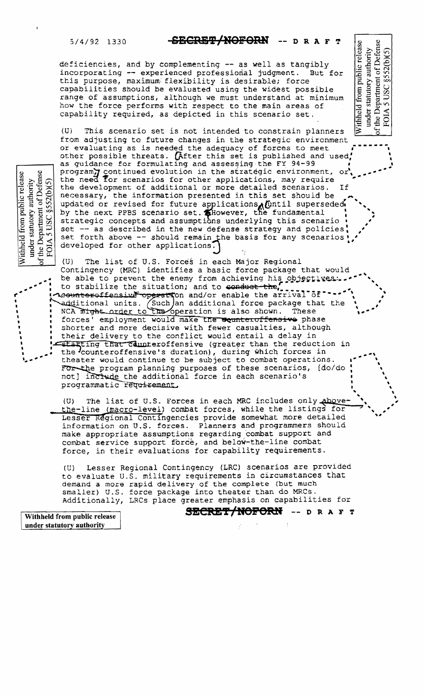### $5/4/92$  1330

### <del>-SECRET/NOFORN</del> DRAFT

under statutory authority<br>the Department of Defense<br>FOIA 5 USC §552(b)(5)

ithheld from public release

deficiencies, and by complementing -- as well as tangibly incorporating -- experienced professional judgment. But for this purpose, maximum flexibility is desirable; force capabilities should be evaluated using the widest possible range of assumptions, although we must understand at minimum how the force performs with respect to the main areas of capability required, as depicted in this scenario set.

This scenario set is not intended to constrain planners  $(U)$ from adjusting to future changes in the strategic environment or evaluating as is needed the adequacy of forces to meet other possible threats. (After this set is published and used, as guidance for formulating and assessing the FY 94-99 program) continued evolution in the strategic environment, or<br>the need for scenarios for other applications, may require the development of additional or more detailed scenarios. If necessary, the information presented in this set should be updated or revised for future applications Until superseded

by the next PPBS scenario set. Showever, the fundamental strategic concepts and assumptions underlying this scenario set -- as described in the new defense strategy and policies set forth above -- should remain the basis for any scenarios! developed for other applications.

 $(U)$ The list of U.S. Forces in each Major Regional Contingency (MRC) identifies a basic force package that would

be able to prevent the enemy from achieving his objectives to stabilize the situation; and to conduct the, where the stabilize the situation; and/or enable the arrival of additional units. (Such an additional force package that the NCA might order to the operation is also shown. These forces' employment would make the equateroffensive phase shorter and more decisive with fewer casualties, although their delivery to the conflict would entail a delay in Starting that counteroffensive (greater than the reduction in the counteroffensive's duration), during which forces in theater would continue to be subject to combat operations. For the program planning purposes of these scenarios, [do/do not] include the additional force in each scenario's programmatic requirement.

The list of U.S. Forces in each MRC includes only above- $(U)$ the-line (macro-level) combat forces, while the listings for Lesser Regional Contingencies provide somewhat more detailed information on U.S. forces. Planners and programmers should make appropriate assumptions regarding combat support and combat service support force, and below-the-line combat force, in their evaluations for capability requirements.

Lesser Regional Contingency (LRC) scenarios are provided  $(U)$ to evaluate U.S. military requirements in circumstances that demand a more rapid delivery of the complete (but much smaller) U.S. force package into theater than do MRCs. Additionally, LRCs place greater emphasis on capabilities for

SECRET/NOFORN -- DRAFT

ent of Defense<br>3 § 52 (b) (5) Withheld from public release under statutory authority of the Department<br>FOIA 5 USC §5

> Withheld from public release under statutory authority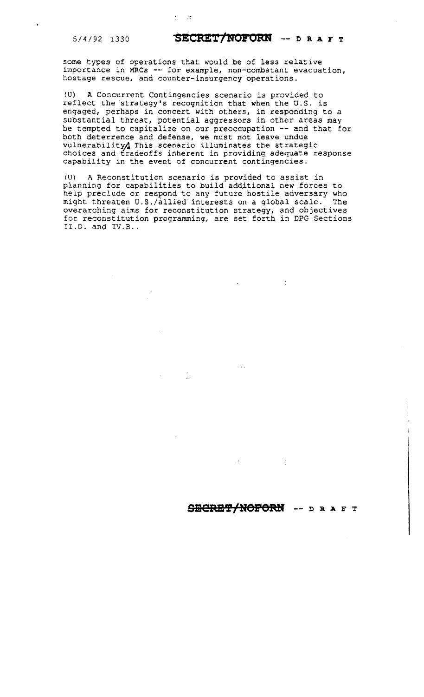# 5/4/92 1330 **SECRET/HOFORR** -- 0 R AFT

some types of operations that would be of less relative importance in MRCs -- for example, non-combatant evacuation, hostage rescue, and counter-insurgency operations.

 $1 - 11$ 

(U) A Concurrent Contingencies scenario is provided to reflect the strategy's recognition that when the U.S. is engaged, perhaps in concert with others, in responding to a substantial threat, potential aggressors in other areas may be tempted to capitalize on our preoccupation -- and that for both deterrence and defense, we must not leave undue vulnerability/ This scenario illuminates the strategic choices and tradeoffs inherent in providing adequate response capability in the event of concurrent contingencies.

(U) A Reconstitution scenario is provided to assist in planning for capabilities to build additional new forces to help preclude or respond to any future hostile adversary who might threaten U.S./allied interests on a global scale. The might threaten U.S./allied interests on a global scale. overarching aims for reconstitution strategy, and objectives for reconstitution programming, are set forth in DPG Sections II.D. and  $IV.B..$ 

# **SaCRB'l'/NOPORH --** D R AFT

 $\mathcal{L}_{\text{eff}}$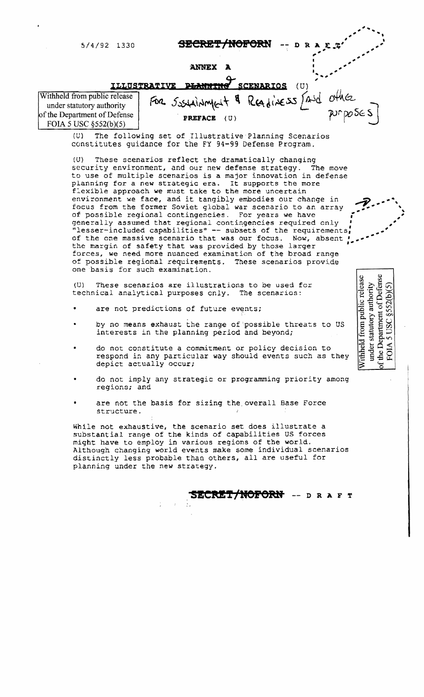5/4/92 1330

SECRET/NOFORN

א מ

### **ANNEX** A



(U) The following set of Illustrative Planning Scenarios constitutes guidance for the FY 94-99 Defense Program.

(U) These scenarios reflect Lhe dramatically changing security environment, and our new defense strategy. The move to use of multiple scenarios is a major innovation in defense planning for a new strategic era. It supports the more flexible approach we must take to the more uncertain environment we face, and it tangibly embodies our change in focus from the former Soviet global war scenario to an array of possible regional contingencies. For years we have generally assumed that regional contingencies required only' "lesser-included capabilities" -- subsets of the requirements; of the one massive scenario that was our focus. Now, **absent'**  The margin of safety that was provided by the requirements,<br>of the one massive scenario that was our focus. Now, absent<br>the margin of safety that was provided by those larger<br>forces, we need more nuanced examination of the forces, we need more nuanced examination of the broad range<br>of possible regional requirements. These scenarios provide one basis for such examination.

(0) These scenarios are illustrations to be used for technical analytical purposes cnly. The scenarios:

- are not predictions of future events;
- by no means exhaust the range of 'possible threats to US interests in the planning period and beyond;
- do not constitute a commitment or policy decision to respond in any particular way should events such as they depict actually occur;
- do not imply any strategic or programming priority among regions; and
- are not the basis for sizing the overall Base Force structure.

While not exhaustive, the scenario set does illustrate a substantial range of the kinds of capabilities US forces might have to employ in various regions of the world. Although changing world events make some individual scenarios distinctly less probable than others, all are useful for planning under the new strategy.

**SECRET/NOFORN** -- D R A F T

under statutory authority<br>the Department of Defense Withheld from public release  $$552(b)$ **ISC** FOIA

**\_---** ~~

**---**

.<br>م " **\_-'**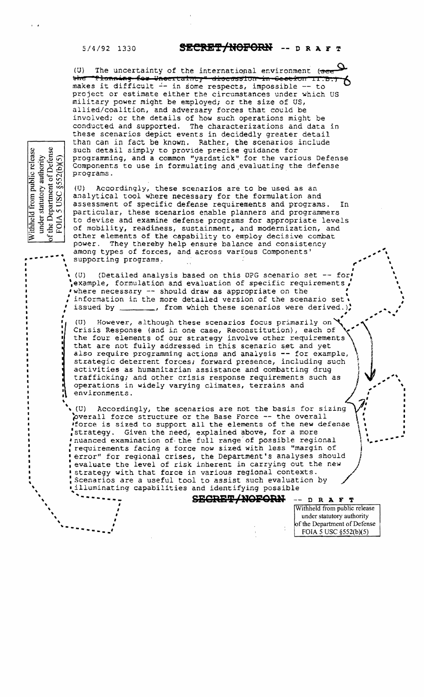### $5/4/92$  1330

under statutory authority<br>the Department of Defense<br>FOIA 5 USC §552(b)(5)

f the Department c<br>FOIA 5 USC §5:

Withheld from public release

# SECRET/NOFORN -- DRAFT

The uncertainty of the international environment (se  $(U)$ the Planning for Uncertainty" diseassion in Cection II.B makes it difficult -- in some respects, impossible -- to project or estimate either the circumstances under which US military power might be employed; or the size of US, allied/coalition, and adversary forces that could be involved; or the details of how such operations might be conducted and supported. The characterizations and data in these scenarios depict events in decidedly greater detail than can in fact be known. Rather, the scenarios include such detail simply to provide precise guidance for programming, and a common "yardstick" for the various Defense Components to use in formulating and evaluating the defense programs.

Accordingly, these scenarios are to be used as an (U). analytical tool where necessary for the formulation and assessment of specific defense requirements and programs.  $In$ particular, these scenarios enable planners and programmers to devise and examine defense programs for appropriate levels of mobility, readiness, sustainment, and modernization, and other elements of the capability to employ decisive combat power. They thereby help ensure balance and consistency among types of forces, and across various Components' supporting programs.

(Detailed analysis based on this DPG scenario set -- for  $(U)$ example, formulation and evaluation of specific requirements, where necessary -- should draw as appropriate on the information in the more detailed version of the scenario set. issued by \_\_\_\_\_\_, from which these scenarios were derived.)

 $(U)$ However, although these scenarios focus primarily on Crisis Response (and in one case, Reconstitution), each of the four elements of our strategy involve other requirements that are not fully addressed in this scenario set and yet also require programming actions and analysis -- for example, strategic deterrent forces; forward presence, including such activities as humanitarian assistance and combatting drug trafficking; and other crisis response requirements such as operations in widely varying climates, terrains and environments.

Accordingly, the scenarios are not the basis for sizing . (U). overall force structure or the Base Force -- the overall force is sized to support all the elements of the new defense strategy. Given the need, explained above, for a more 'nuanced examination of the full range of possible regional requirements facing a force now sized with less "margin of error" for regional crises, the Department's analyses should evaluate the level of risk inherent in carrying out the new strategy with that force in various regional contexts. Scenarios are a useful tool to assist such evaluation by illuminating capabilities and identifying possible

**SECRET/NOFORN** 

Withheld from public release under statutory authority of the Department of Defense FOIA 5 USC §552(b)(5)

 $--$  DRAFT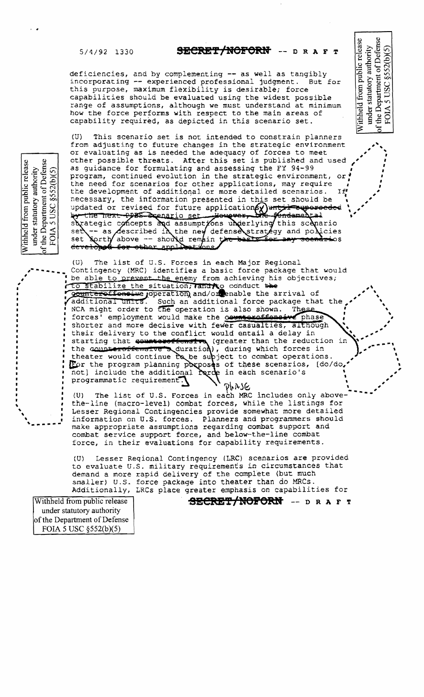# 5/4/92 1330 **SECRB'f'/HOPORlf** -- D R AFT

~

 $\boldsymbol{\beta}^{(k)}$ 

**,** 

under statutory authority<br>of the Department of Defense<br>FOIA 5 USC  $$52(b)(5)$ 

Withheld from public release

 $\ddot{\phantom{a}}$ 

,,, ,'

•

,, I

 $\lambda$ ", \

**"** , ""

,

"

deficiencies, and by complementing **--** as well as tangibly incorporating  $-$  experienced professional judgment. this purpose, maximum flexibility is desirable; force capabilicies should be evaluated using the widest possible range of assumptions, although we must understand at minimum how the force performs with respect to the main areas of capability required, as depicted in this scenario set.

(U) This scenario set is not intended to constrain planners from adjusting to future changes in the strategic environment or evaluating as is needed the adequacy of forces to meet other possible threats. After this set is published and used as guidance for formulating and assessing the FY 94-99 program, continued evolution in the strategic environment, or . the need for scenarios for other applications, may require the development of additional or more detailed scenarios. If' necessary, the information presented in this set should be updated or revised for future applications and the superseded by the next pps. Scenario set you were the fundamental strategic concepts and assumptions underlying this scanario<br>set -- as described in the new defense strategy and policies<br>set forth above -- should remain the basic for any scenarios set set develobed for other annihetions

(U) The list of U.S. Forces in each Major Regional Contingency (MRC) identifies a basic force package that woul d be able to prevent the enemy from achieving his objectives; to stabilize the situation; and to conduct the gountereffensive joperation and/or enable the arrival of additional units. Such an additional force package that the<br>NCA might order to the operation is also shown. These NCA might order to the operation is also shown. forces' employment would make the **counteraffonsive** phase shorter and more decisive with fewer casualties, although their delivery to the conflict would entail a delay in starting that counters fourth (greater than the reduction the counteroffensive s duration), during which forces in theater would continue to be subject to combat operations. the connectoriensive souration), during which forces in<br>theater would continue be be supject to combat operations.<br>For the program planning porposes of these scenarios, (do/de  $not$ ] include the additional rarde in each scenario's  $\mathcal{L} = \mathcal{L}$ • e, $\mathcal{E} \subset \mathcal{E}$  $I = \frac{1}{2}$ **" , ... fIIA-,** , , , , s., , o,' \ **"** " programmatic requirement.

**'....** ", - **-.**   $\rightarrow$   $\gamma_{\mu}$ .  $\gamma_{\mu}$  (U) The list of U.S. Forces in each MRC includes only above the-line (macro-level) combat forces, while the listings for **"** Lesser Regional Contingencies provide somewhat more detailed information on U.S. forces. Planners and programmers should make appropriate assumptions regarding combat support and combat service support force, and below-the-line combat force, in their evaluations for capability requirements.

(U} Lesser Reqional Contingency (LRC) scenarios are provided to evaluate U.S. military requirements in circumstances that demand a more rapid delivery of the complete (but much smaller) U.S. force package into theater than do MRCs. Additionally, LRCs place greater emphasis on capabilities for

under statutory authority of the Department of Defense FOIA 5 USC §552(b)(5)

# Withheld from public release **by ALCRET/NOFORM** -- D R A F T

under statutory authority<br>the Department of Defense<br>FOIA 5 USC §552(b)(5) Withheld from public release

**,.-•••••** 

**;** :<br>.

, where  $\mathbf{r}$